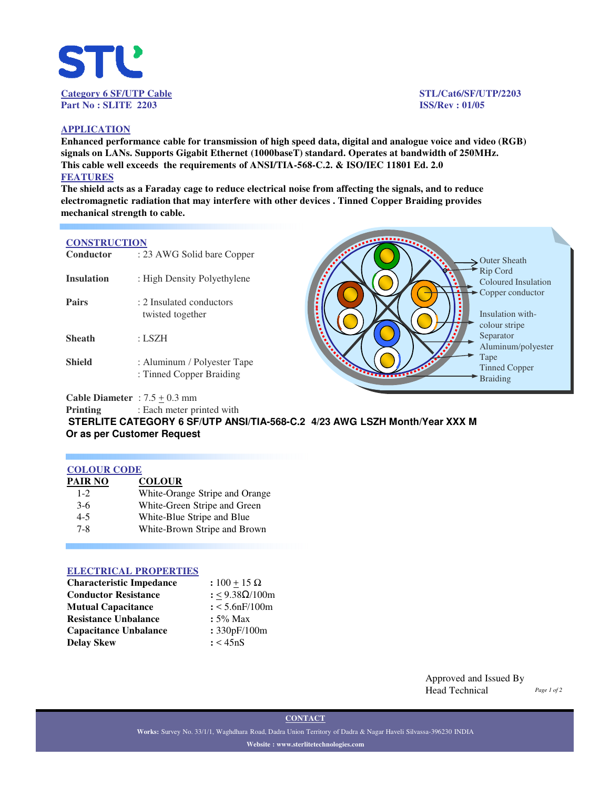

#### **APPLICATION**

**Enhanced performance cable for transmission of high speed data, digital and analogue voice and video (RGB) signals on LANs. Supports Gigabit Ethernet (1000baseT) standard. Operates at bandwidth of 250MHz. This cable well exceeds the requirements of ANSI/TIA-568-C.2. & ISO/IEC 11801 Ed. 2.0 FEATURES**

**The shield acts as a Faraday cage to reduce electrical noise from affecting the signals, and to reduce electromagnetic radiation that may interfere with other devices . Tinned Copper Braiding provides mechanical strength to cable.** 

## **CONSTRUCTION**

| Conductor         | : 23 AWG Solid bare Copper                              |           |
|-------------------|---------------------------------------------------------|-----------|
| <b>Insulation</b> | : High Density Polyethylene                             |           |
| Pairs             | : 2 Insulated conductors<br>twisted together            |           |
| <b>Sheath</b>     | : LSZH                                                  |           |
| <b>Shield</b>     | : Aluminum / Polyester Tape<br>: Tinned Copper Braiding | $\ddotsc$ |

Outer Sheath Rip Cord Coloured Insulation Copper conductor Insulation withcolour stripe Separator Aluminum/polyester Tape Tinned Copper Braiding

**Cable Diameter** :  $7.5 \pm 0.3$  mm

**Printing** : Each meter printed with

**STERLITE CATEGORY 6 SF/UTP ANSI/TIA-568-C.2 4/23 AWG LSZH Month/Year XXX M Or as per Customer Request** 

#### **COLOUR CODE**

| PAIR NO | <b>COLOUR</b>                  |
|---------|--------------------------------|
| $1-2$   | White-Orange Stripe and Orange |
| $3-6$   | White-Green Stripe and Green   |
| $4 - 5$ | White-Blue Stripe and Blue     |
| $7 - 8$ | White-Brown Stripe and Brown   |

#### **ELECTRICAL PROPERTIES**

| <b>Characteristic Impedance</b> | : $100 + 15 \Omega$ |
|---------------------------------|---------------------|
| <b>Conductor Resistance</b>     | : <9.38Ω/100m       |
| <b>Mutual Capacitance</b>       | $: < 5.6$ nF/100m   |
| <b>Resistance Unbalance</b>     | $: 5\%$ Max         |
| <b>Capacitance Unbalance</b>    | : 330pF/100m        |
| <b>Delay Skew</b>               | : < 45nS            |

Approved and Issued By Head Technical

**CONTACT**

**Works:** Survey No. 33/1/1, Waghdhara Road, Dadra Union Territory of Dadra & Nagar Haveli Silvassa-396230 INDIA **Website : www.sterlitetechnologies.com**

## *Page 1 of 2*